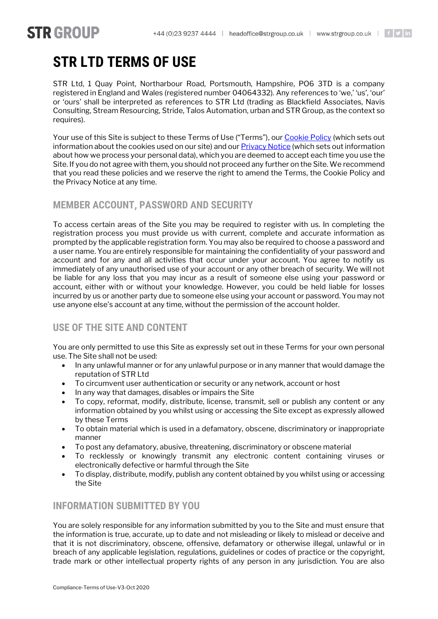# **STR LTD TERMS OF USE**

**STR GROUP** 

STR Ltd, 1 Quay Point, Northarbour Road, Portsmouth, Hampshire, PO6 3TD is a company registered in England and Wales (registered number 04064332). Any references to 'we,' 'us', 'our' or 'ours' shall be interpreted as references to STR Ltd (trading as Blackfield Associates, Navis Consulting, Stream Resourcing, Stride, Talos Automation, urban and STR Group, as the context so requires).

Your use of this Site is subject to these Terms of Use ("Terms"), our [Cookie Policy](https://strgroup.co.uk/cookie-policy/) (which sets out information about the cookies used on our site) and ou[r Privacy Notice](https://strgroup.co.uk/privacy-policy/) (which sets out information about how we process your personal data), which you are deemed to accept each time you use the Site. If you do not agree with them, you should not proceed any further on the Site. We recommend that you read these policies and we reserve the right to amend the Terms, the Cookie Policy and the Privacy Notice at any time.

## **MEMBER ACCOUNT, PASSWORD AND SECURITY**

To access certain areas of the Site you may be required to register with us. In completing the registration process you must provide us with current, complete and accurate information as prompted by the applicable registration form. You may also be required to choose a password and a user name. You are entirely responsible for maintaining the confidentiality of your password and account and for any and all activities that occur under your account. You agree to notify us immediately of any unauthorised use of your account or any other breach of security. We will not be liable for any loss that you may incur as a result of someone else using your password or account, either with or without your knowledge. However, you could be held liable for losses incurred by us or another party due to someone else using your account or password. You may not use anyone else's account at any time, without the permission of the account holder.

# **USE OF THE SITE AND CONTENT**

You are only permitted to use this Site as expressly set out in these Terms for your own personal use. The Site shall not be used:

- In any unlawful manner or for any unlawful purpose or in any manner that would damage the reputation of STR Ltd
- To circumvent user authentication or security or any network, account or host
- In any way that damages, disables or impairs the Site
- To copy, reformat, modify, distribute, license, transmit, sell or publish any content or any information obtained by you whilst using or accessing the Site except as expressly allowed by these Terms
- To obtain material which is used in a defamatory, obscene, discriminatory or inappropriate manner
- To post any defamatory, abusive, threatening, discriminatory or obscene material
- To recklessly or knowingly transmit any electronic content containing viruses or electronically defective or harmful through the Site
- To display, distribute, modify, publish any content obtained by you whilst using or accessing the Site

# **INFORMATION SUBMITTED BY YOU**

You are solely responsible for any information submitted by you to the Site and must ensure that the information is true, accurate, up to date and not misleading or likely to mislead or deceive and that it is not discriminatory, obscene, offensive, defamatory or otherwise illegal, unlawful or in breach of any applicable legislation, regulations, guidelines or codes of practice or the copyright, trade mark or other intellectual property rights of any person in any jurisdiction. You are also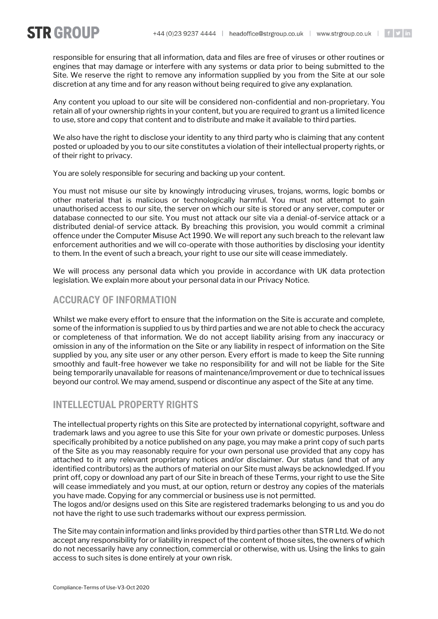**STR GROUP** 

responsible for ensuring that all information, data and files are free of viruses or other routines or engines that may damage or interfere with any systems or data prior to being submitted to the Site. We reserve the right to remove any information supplied by you from the Site at our sole discretion at any time and for any reason without being required to give any explanation.

Any content you upload to our site will be considered non-confidential and non-proprietary. You retain all of your ownership rights in your content, but you are required to grant us a limited licence to use, store and copy that content and to distribute and make it available to third parties.

We also have the right to disclose your identity to any third party who is claiming that any content posted or uploaded by you to our site constitutes a violation of their intellectual property rights, or of their right to privacy.

You are solely responsible for securing and backing up your content.

You must not misuse our site by knowingly introducing viruses, trojans, worms, logic bombs or other material that is malicious or technologically harmful. You must not attempt to gain unauthorised access to our site, the server on which our site is stored or any server, computer or database connected to our site. You must not attack our site via a denial-of-service attack or a distributed denial-of service attack. By breaching this provision, you would commit a criminal offence under the Computer Misuse Act 1990. We will report any such breach to the relevant law enforcement authorities and we will co-operate with those authorities by disclosing your identity to them. In the event of such a breach, your right to use our site will cease immediately.

We will process any personal data which you provide in accordance with UK data protection legislation. We explain more about your personal data in our Privacy Notice.

# **ACCURACY OF INFORMATION**

Whilst we make every effort to ensure that the information on the Site is accurate and complete, some of the information is supplied to us by third parties and we are not able to check the accuracy or completeness of that information. We do not accept liability arising from any inaccuracy or omission in any of the information on the Site or any liability in respect of information on the Site supplied by you, any site user or any other person. Every effort is made to keep the Site running smoothly and fault-free however we take no responsibility for and will not be liable for the Site being temporarily unavailable for reasons of maintenance/improvement or due to technical issues beyond our control. We may amend, suspend or discontinue any aspect of the Site at any time.

# **INTELLECTUAL PROPERTY RIGHTS**

The intellectual property rights on this Site are protected by international copyright, software and trademark laws and you agree to use this Site for your own private or domestic purposes. Unless specifically prohibited by a notice published on any page, you may make a print copy of such parts of the Site as you may reasonably require for your own personal use provided that any copy has attached to it any relevant proprietary notices and/or disclaimer. Our status (and that of any identified contributors) as the authors of material on our Site must always be acknowledged. If you print off, copy or download any part of our Site in breach of these Terms, your right to use the Site will cease immediately and you must, at our option, return or destroy any copies of the materials you have made. Copying for any commercial or business use is not permitted.

The logos and/or designs used on this Site are registered trademarks belonging to us and you do not have the right to use such trademarks without our express permission.

The Site may contain information and links provided by third parties other than STR Ltd. We do not accept any responsibility for or liability in respect of the content of those sites, the owners of which do not necessarily have any connection, commercial or otherwise, with us. Using the links to gain access to such sites is done entirely at your own risk.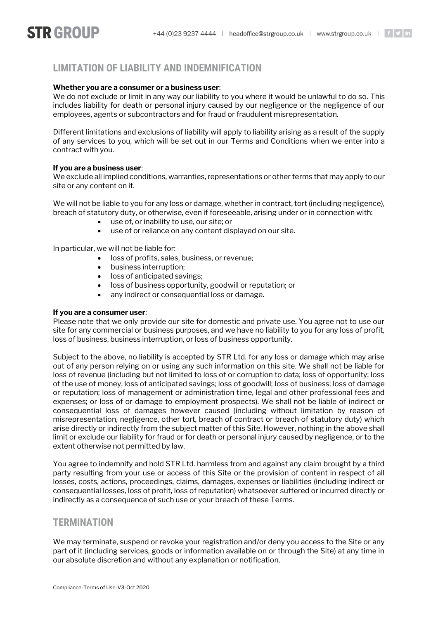# **STR GROUP**

# **LIMITATION OF LIABILITY AND INDEMNIFICATION**

### **Whether you are a consumer or a business user**:

We do not exclude or limit in any way our liability to you where it would be unlawful to do so. This includes liability for death or personal injury caused by our negligence or the negligence of our employees, agents or subcontractors and for fraud or fraudulent misrepresentation.

Different limitations and exclusions of liability will apply to liability arising as a result of the supply of any services to you, which will be set out in our Terms and Conditions when we enter into a contract with you.

#### **If you are a business user**:

We exclude all implied conditions, warranties, representations or other terms that may apply to our site or any content on it.

We will not be liable to you for any loss or damage, whether in contract, tort (including negligence), breach of statutory duty, or otherwise, even if foreseeable, arising under or in connection with:

- use of, or inability to use, our site; or
- use of or reliance on any content displayed on our site.

In particular, we will not be liable for:

- loss of profits, sales, business, or revenue;
- business interruption;
- loss of anticipated savings;
- loss of business opportunity, goodwill or reputation; or
- any indirect or consequential loss or damage.

#### **If you are a consumer user**:

Please note that we only provide our site for domestic and private use. You agree not to use our site for any commercial or business purposes, and we have no liability to you for any loss of profit, loss of business, business interruption, or loss of business opportunity.

Subject to the above, no liability is accepted by STR Ltd. for any loss or damage which may arise out of any person relying on or using any such information on this site. We shall not be liable for loss of revenue (including but not limited to loss of or corruption to data; loss of opportunity; loss of the use of money, loss of anticipated savings; loss of goodwill; loss of business; loss of damage or reputation; loss of management or administration time, legal and other professional fees and expenses; or loss of or damage to employment prospects). We shall not be liable of indirect or consequential loss of damages however caused (including without limitation by reason of misrepresentation, negligence, other tort, breach of contract or breach of statutory duty) which arise directly or indirectly from the subject matter of this Site. However, nothing in the above shall limit or exclude our liability for fraud or for death or personal injury caused by negligence, or to the extent otherwise not permitted by law.

You agree to indemnify and hold STR Ltd. harmless from and against any claim brought by a third party resulting from your use or access of this Site or the provision of content in respect of all losses, costs, actions, proceedings, claims, damages, expenses or liabilities (including indirect or consequential losses, loss of profit, loss of reputation) whatsoever suffered or incurred directly or indirectly as a consequence of such use or your breach of these Terms.

## **TERMINATION**

We may terminate, suspend or revoke your registration and/or deny you access to the Site or any part of it (including services, goods or information available on or through the Site) at any time in our absolute discretion and without any explanation or notification.